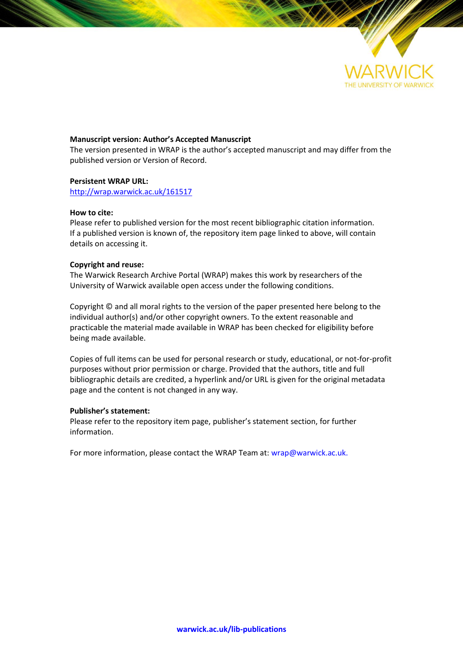

## **Manuscript version: Author's Accepted Manuscript**

The version presented in WRAP is the author's accepted manuscript and may differ from the published version or Version of Record.

## **Persistent WRAP URL:**

<http://wrap.warwick.ac.uk/161517>

## **How to cite:**

Please refer to published version for the most recent bibliographic citation information. If a published version is known of, the repository item page linked to above, will contain details on accessing it.

# **Copyright and reuse:**

The Warwick Research Archive Portal (WRAP) makes this work by researchers of the University of Warwick available open access under the following conditions.

Copyright © and all moral rights to the version of the paper presented here belong to the individual author(s) and/or other copyright owners. To the extent reasonable and practicable the material made available in WRAP has been checked for eligibility before being made available.

Copies of full items can be used for personal research or study, educational, or not-for-profit purposes without prior permission or charge. Provided that the authors, title and full bibliographic details are credited, a hyperlink and/or URL is given for the original metadata page and the content is not changed in any way.

## **Publisher's statement:**

Please refer to the repository item page, publisher's statement section, for further information.

For more information, please contact the WRAP Team at[: wrap@warwick.ac.uk.](mailto:wrap@warwick.ac.uk)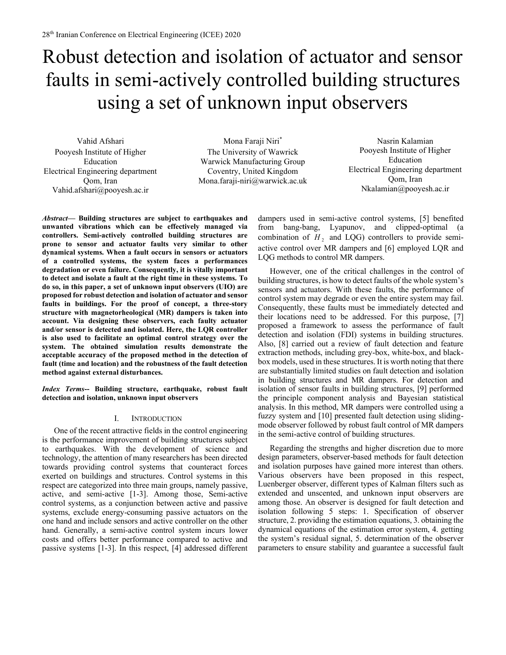# Robust detection and isolation of actuator and sensor faults in semi-actively controlled building structures using a set of unknown input observers

Vahid Afshari Pooyesh Institute of Higher Education Electrical Engineering department Qom, Iran Vahid.afshari@pooyesh.ac.ir

Mona Faraji Niri\* The University of Wawrick Warwick Manufacturing Group Coventry, United Kingdom Mona.faraji-niri@warwick.ac.uk

Nasrin Kalamian Pooyesh Institute of Higher Education Electrical Engineering department Qom, Iran Nkalamian@pooyesh.ac.ir

*Abstract***— Building structures are subject to earthquakes and unwanted vibrations which can be effectively managed via controllers. Semi-actively controlled building structures are prone to sensor and actuator faults very similar to other dynamical systems. When a fault occurs in sensors or actuators of a controlled systems, the system faces a performances degradation or even failure. Consequently, it is vitally important to detect and isolate a fault at the right time in these systems. To do so, in this paper, a set of unknown input observers (UIO) are proposed for robust detection and isolation of actuator and sensor faults in buildings. For the proof of concept, a three-story structure with magnetorheological (MR) dampers is taken into account. Via designing these observers, each faulty actuator and/or sensor is detected and isolated. Here, the LQR controller is also used to facilitate an optimal control strategy over the system. The obtained simulation results demonstrate the acceptable accuracy of the proposed method in the detection of fault (time and location) and the robustness of the fault detection method against external disturbances.**

*Index Terms***-- Building structure, earthquake, robust fault detection and isolation, unknown input observers**

## I. INTRODUCTION

One of the recent attractive fields in the control engineering is the performance improvement of building structures subject to earthquakes. With the development of science and technology, the attention of many researchers has been directed towards providing control systems that counteract forces exerted on buildings and structures. Control systems in this respect are categorized into three main groups, namely passive, active, and semi-active [1-3]. Among those, Semi-active control systems, as a conjunction between active and passive systems, exclude energy-consuming passive actuators on the one hand and include sensors and active controller on the other hand. Generally, a semi-active control system incurs lower costs and offers better performance compared to active and passive systems [1-3]. In this respect, [4] addressed different

dampers used in semi-active control systems, [5] benefited from bang-bang, Lyapunov, and clipped-optimal (a combination of  $H<sub>2</sub>$  and LQG) controllers to provide semiactive control over MR dampers and [6] employed LQR and LQG methods to control MR dampers.

However, one of the critical challenges in the control of building structures, is how to detect faults of the whole system's sensors and actuators. With these faults, the performance of control system may degrade or even the entire system may fail. Consequently, these faults must be immediately detected and their locations need to be addressed. For this purpose, [7] proposed a framework to assess the performance of fault detection and isolation (FDI) systems in building structures. Also, [8] carried out a review of fault detection and feature extraction methods, including grey-box, white-box, and blackbox models, used in these structures. It is worth noting that there are substantially limited studies on fault detection and isolation in building structures and MR dampers. For detection and isolation of sensor faults in building structures, [9] performed the principle component analysis and Bayesian statistical analysis. In this method, MR dampers were controlled using a fuzzy system and [10] presented fault detection using slidingmode observer followed by robust fault control of MR dampers in the semi-active control of building structures.

Regarding the strengths and higher discretion due to more design parameters, observer-based methods for fault detection and isolation purposes have gained more interest than others. Various observers have been proposed in this respect, Luenberger observer, different types of Kalman filters such as extended and unscented, and unknown input observers are among those. An observer is designed for fault detection and isolation following 5 steps: 1. Specification of observer structure, 2. providing the estimation equations, 3. obtaining the dynamical equations of the estimation error system, 4. getting the system's residual signal, 5. determination of the observer parameters to ensure stability and guarantee a successful fault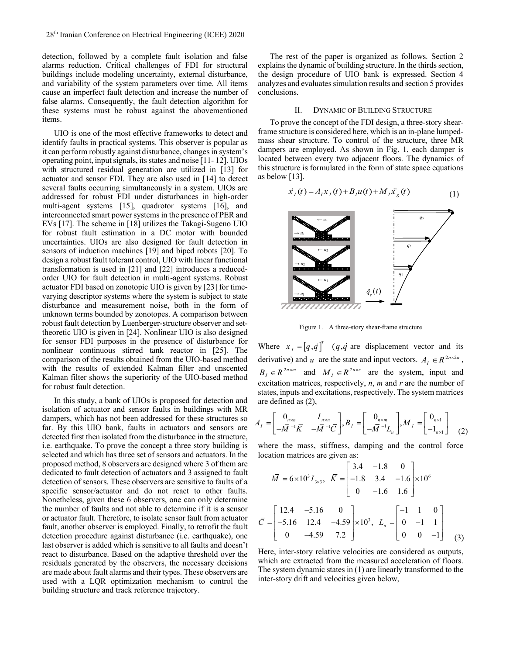detection, followed by a complete fault isolation and false alarms reduction. Critical challenges of FDI for structural buildings include modeling uncertainty, external disturbance, and variability of the system parameters over time. All items cause an imperfect fault detection and increase the number of false alarms. Consequently, the fault detection algorithm for these systems must be robust against the abovementioned items.

UIO is one of the most effective frameworks to detect and identify faults in practical systems. This observer is popular as it can perform robustly against disturbance, changes in system's operating point, input signals, its states and noise [11- 12]. UIOs with structured residual generation are utilized in [13] for actuator and sensor FDI. They are also used in [14] to detect several faults occurring simultaneously in a system. UIOs are addressed for robust FDI under disturbances in high-order multi-agent systems [15], quadrotor systems [16], and interconnected smart power systems in the presence of PER and EVs [17]. The scheme in [18] utilizes the Takagi-Sugeno UIO for robust fault estimation in a DC motor with bounded uncertainties. UIOs are also designed for fault detection in sensors of induction machines [19] and biped robots [20]. To design a robust fault tolerant control, UIO with linear functional transformation is used in [21] and [22] introduces a reducedorder UIO for fault detection in multi-agent systems. Robust actuator FDI based on zonotopic UIO is given by [23] for timevarying descriptor systems where the system is subject to state disturbance and measurement noise, both in the form of unknown terms bounded by zonotopes. A comparison between robust fault detection by Luenberger-structure observer and settheoretic UIO is given in [24]. Nonlinear UIO is also designed for sensor FDI purposes in the presence of disturbance for nonlinear continuous stirred tank reactor in [25]. The comparison of the results obtained from the UIO-based method with the results of extended Kalman filter and unscented Kalman filter shows the superiority of the UIO-based method for robust fault detection.

In this study, a bank of UIOs is proposed for detection and isolation of actuator and sensor faults in buildings with MR dampers, which has not been addressed for these structures so far. By this UIO bank, faults in actuators and sensors are detected first then isolated from the disturbance in the structure, i.e. earthquake. To prove the concept a three story building is selected and which has three set of sensors and actuators. In the proposed method, 8 observers are designed where 3 of them are dedicated to fault detection of actuators and 3 assigned to fault detection of sensors. These observers are sensitive to faults of a specific sensor/actuator and do not react to other faults. Nonetheless, given these 6 observers, one can only determine the number of faults and not able to determine if it is a sensor or actuator fault. Therefore, to isolate sensor fault from actuator fault, another observer is employed. Finally, to retrofit the fault detection procedure against disturbance (i.e. earthquake), one last observer is added which is sensitive to all faults and doesn't react to disturbance. Based on the adaptive threshold over the residuals generated by the observers, the necessary decisions are made about fault alarms and their types. These observers are used with a LQR optimization mechanism to control the building structure and track reference trajectory.

The rest of the paper is organized as follows. Section 2 explains the dynamic of building structure. In the thirds section, the design procedure of UIO bank is expressed. Section 4 analyzes and evaluates simulation results and section 5 provides conclusions.

#### II. DYNAMIC OF BUILDING STRUCTURE

To prove the concept of the FDI design, a three-story shearframe structure is considered here, which is an in-plane lumpedmass shear structure. To control of the structure, three MR dampers are employed. As shown in Fig. 1, each damper is located between every two adjacent floors. The dynamics of this structure is formulated in the form of state space equations as below [13].

$$
\dot{x}_I(t) = A_I x_I(t) + B_I u(t) + M_I \ddot{x}_g(t)
$$
\n(1)



Figure 1. A three-story shear-frame structure

Where  $x_i = [q, \dot{q}]^T$  $X_i = [q, q]$ <sup>*i*</sup> (*q, q* are displacement vector and its derivative) and *u* are the state and input vectors.  $A_I \in \mathbb{R}^{2n \times 2n}$ ,  $B<sub>I</sub> \in R^{2n \times m}$  and  $M<sub>I</sub> \in R^{2n \times r}$  are the system, input and excitation matrices, respectively, *n*, *m* and *r* are the number of states, inputs and excitations, respectively. The system matrices are defined as (2),

$$
A_{I} = \begin{bmatrix} 0_{n \times n} & I_{n \times n} \\ -\overline{M}^{-1}\overline{K} & -\overline{M}^{-1}\overline{C} \end{bmatrix}, B_{I} = \begin{bmatrix} 0_{n \times m} \\ -\overline{M}^{-1}L_{u} \end{bmatrix}, M_{I} = \begin{bmatrix} 0_{n \times 1} \\ -1_{n \times 1} \end{bmatrix} \tag{2}
$$

where the mass, stiffness, damping and the control force location matrices are given as:

$$
\overline{M} = 6 \times 10^{3} I_{3\times 3}, \quad \overline{K} = \begin{bmatrix} 3.4 & -1.8 & 0 \\ -1.8 & 3.4 & -1.6 \\ 0 & -1.6 & 1.6 \end{bmatrix} \times 10^{6}
$$

$$
\overline{C} = \begin{bmatrix} 12.4 & -5.16 & 0 \\ -5.16 & 12.4 & -4.59 \\ 0 & -4.59 & 7.2 \end{bmatrix} \times 10^{3}, \quad L_{u} = \begin{bmatrix} -1 & 1 & 0 \\ 0 & -1 & 1 \\ 0 & 0 & -1 \end{bmatrix}
$$
(3)

Here, inter-story relative velocities are considered as outputs, which are extracted from the measured acceleration of floors. The system dynamic states in (1) are linearly transformed to the inter-story drift and velocities given below,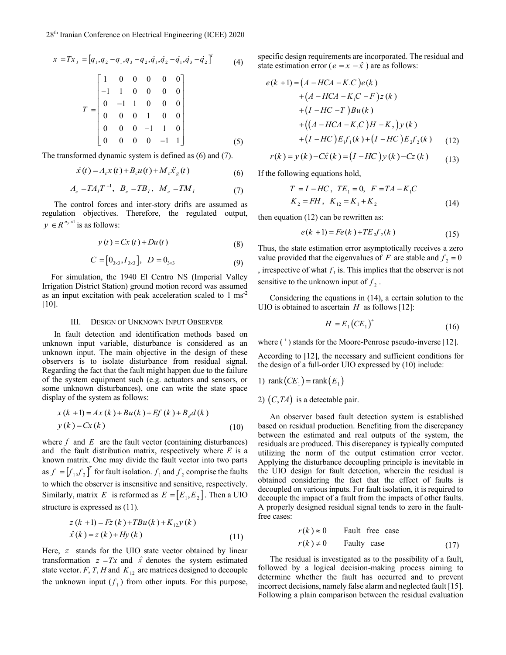$$
x = Tx_{I} = [q_{1}, q_{2} - q_{1}, q_{3} - q_{2}, \dot{q}_{1}, \dot{q}_{2} - \dot{q}_{1}, \dot{q}_{3} - \dot{q}_{2}]^{T}
$$
(4)  

$$
T = \begin{bmatrix} 1 & 0 & 0 & 0 & 0 \\ -1 & 1 & 0 & 0 & 0 \\ 0 & -1 & 1 & 0 & 0 & 0 \\ 0 & 0 & 0 & 1 & 0 & 0 \\ 0 & 0 & 0 & -1 & 1 & 0 \\ 0 & 0 & 0 & 0 & -1 & 1 \end{bmatrix}
$$
(5)

The transformed dynamic system is defined as (6) and (7).

$$
\dot{x}(t) = A_c x(t) + B_c u(t) + M_c \ddot{x}_g(t)
$$
\n(6)

$$
A_c = TA_I T^{-1}, B_c = TB_I, M_c = TM_I
$$
 (7)

The control forces and inter-story drifts are assumed as regulation objectives. Therefore, the regulated output,  $y \in R^{n_y \times 1}$  is as follows:

$$
y(t) = Cx(t) + Du(t)
$$
\n(8)

$$
C = [0_{3\times 3}, I_{3\times 3}], \ D = 0_{3\times 3}
$$
 (9)

For simulation, the 1940 El Centro NS (Imperial Valley Irrigation District Station) ground motion record was assumed as an input excitation with peak acceleration scaled to 1 ms-2 [10].

#### III. DESIGN OF UNKNOWN INPUT OBSERVER

In fault detection and identification methods based on unknown input variable, disturbance is considered as an unknown input. The main objective in the design of these observers is to isolate disturbance from residual signal. Regarding the fact that the fault might happen due to the failure of the system equipment such (e.g. actuators and sensors, or some unknown disturbances), one can write the state space display of the system as follows:

(10)  
\n
$$
x(k+1) = Ax(k) + Bu(k) + Ef(k) + B_d d(k)
$$
\n
$$
y(k) = Cx(k)
$$

where  $f$  and  $E$  are the fault vector (containing disturbances) and the fault distribution matrix, respectively where *E* is a known matrix. One may divide the fault vector into two parts as  $f = [f_1, f_2]$ <sup>*T*</sup> for fault isolation.  $f_1$  and  $f_2$  comprise the faults to which the observer is insensitive and sensitive, respectively. Similarly, matrix E is reformed as  $E = [E_1, E_2]$ . Then a UIO structure is expressed as (11).

$$
z(k+1) = Fz(k) + TBu(k) + K_{12}y(k)
$$
  
\n
$$
\hat{x}(k) = z(k) + Hy(k)
$$
\n(11)

Here, *z* stands for the UIO state vector obtained by linear transformation  $z = Tx$  and  $\hat{x}$  denotes the system estimated state vector.  $F$ ,  $T$ ,  $H$  and  $K_{12}$  are matrices designed to decouple the unknown input  $(f_1)$  from other inputs. For this purpose, specific design requirements are incorporated. The residual and state estimation error ( $e = x - \hat{x}$ ) are as follows:

$$
e(k+1) = (A - HCA - K_1C)e(k)
$$
  
+  $(A - HCA - K_1C - F)z(k)$   
+  $(I - HC - T)Bu(k)$   
+  $((A - HCA - K_1C)H - K_2)y(k)$   
+  $(I - HC)Ef_1(k) + (I - HC)Ef_2(k)$  (12)

$$
r(k) = y(k) - C\hat{x}(k) = (I - HC) y(k) - Cz(k)
$$
 (12)  
(13)

If the following equations hold,

$$
T = I - HC, TE_1 = 0, F = TA - K_1C
$$
  
\n
$$
K_2 = FH, K_{12} = K_1 + K_2
$$
 (14)

then equation (12) can be rewritten as:

$$
e(k+1) = Fe(k) + TE2f2(k)
$$
\n(15)

Thus, the state estimation error asymptotically receives a zero value provided that the eigenvalues of F are stable and  $f_2 = 0$ , irrespective of what  $f_1$  is. This implies that the observer is not sensitive to the unknown input of  $f_2$ .

Considering the equations in (14), a certain solution to the UIO is obtained to ascertain  $H$  as follows [12]:

$$
H = E_1 \left( C E_1 \right)^+ \tag{16}
$$

where (<sup>+</sup>) stands for the Moore-Penrose pseudo-inverse [12].

According to [12], the necessary and sufficient conditions for the design of a full-order UIO expressed by (10) include:

1) rank
$$
(CE_1)
$$
 = rank $(E_1)$ 

2)  $(C, TA)$  is a detectable pair.

An observer based fault detection system is established based on residual production. Benefiting from the discrepancy between the estimated and real outputs of the system, the residuals are produced. This discrepancy is typically computed utilizing the norm of the output estimation error vector. Applying the disturbance decoupling principle is inevitable in the UIO design for fault detection, wherein the residual is obtained considering the fact that the effect of faults is decoupled on various inputs. For fault isolation, it is required to decouple the impact of a fault from the impacts of other faults. A properly designed residual signal tends to zero in the faultfree cases:

$$
r(k) \approx 0
$$
 *Pault free case*  

$$
r(k) \neq 0
$$
 *Paulty case* (17)

The residual is investigated as to the possibility of a fault, followed by a logical decision-making process aiming to determine whether the fault has occurred and to prevent incorrect decisions, namely false alarm and neglected fault [15]. Following a plain comparison between the residual evaluation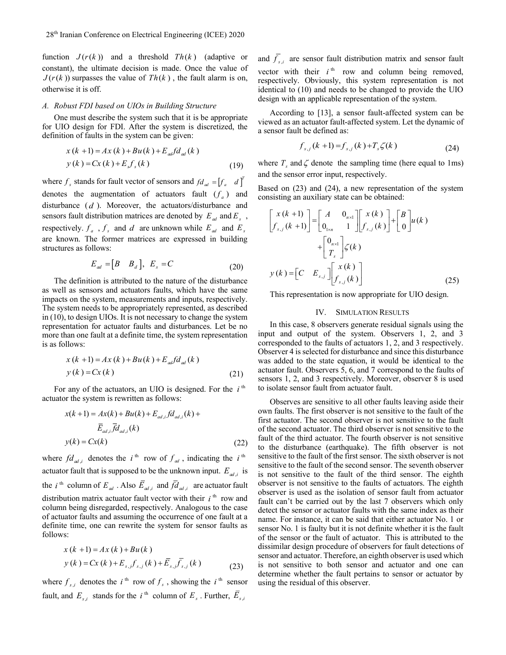function  $J(r(k))$  and a threshold  $Th(k)$  (adaptive or constant), the ultimate decision is made. Once the value of  $J(r(k))$  surpasses the value of  $Th(k)$ , the fault alarm is on, otherwise it is off.

#### *A. Robust FDI based on UIOs in Building Structure*

One must describe the system such that it is be appropriate for UIO design for FDI. After the system is discretized, the definition of faults in the system can be given:

$$
x(k+1) = Ax(k) + Bu(k) + E_{ak}fd_{al}(k)
$$
  
\n
$$
y(k) = Cx(k) + E_{s}f_{s}(k)
$$
\n(19)

where  $f_s$  stands for fault vector of sensors and  $fd_{ad} = [f_a \quad d]^T$ denotes the augmentation of actuators fault  $(f_a)$  and disturbance ( *d* ). Moreover, the actuators/disturbance and sensors fault distribution matrices are denoted by  $E_{ad}$  and  $E_{s}$ , respectively.  $f_a$ ,  $f_s$  and  $d$  are unknown while  $E_{ad}$  and  $E_s$ are known. The former matrices are expressed in building structures as follows:

$$
E_{ad} = [B \quad B_d], \quad E_s = C \tag{20}
$$

The definition is attributed to the nature of the disturbance as well as sensors and actuators faults, which have the same impacts on the system, measurements and inputs, respectively. The system needs to be appropriately represented, as described in (10), to design UIOs. It is not necessary to change the system representation for actuator faults and disturbances. Let be no more than one fault at a definite time, the system representation is as follows:

$$
x(k+1) = Ax(k) + Bu(k) + E_{\alpha\beta} f d_{\alpha\beta}(k)
$$
  
\n
$$
y(k) = Cx(k)
$$
\n(21)

For any of the actuators, an UIO is designed. For the  $i<sup>th</sup>$ actuator the system is rewritten as follows:

$$
x(k+1) = Ax(k) + Bu(k) + E_{ad,i}fd_{ad,i}(k) +
$$
  

$$
\overline{E}_{ad,i}\overline{fd}_{ad,i}(k)
$$
  

$$
y(k) = Cx(k)
$$
 (22)

where  $fd_{ad,i}$  denotes the *i*<sup>th</sup> row of  $f_{ad}$ , indicating the *i*<sup>th</sup> actuator fault that is supposed to be the unknown input.  $E_{ad,i}$  is the *i*<sup>th</sup> column of  $E_{ad}$ . Also  $E_{ad,i}$  and  $fd_{ad,i}$  are actuator fault distribution matrix actuator fault vector with their  $i<sup>th</sup>$  row and column being disregarded, respectively. Analogous to the case of actuator faults and assuming the occurrence of one fault at a definite time, one can rewrite the system for sensor faults as follows:

$$
x(k+1) = Ax(k) + Bu(k)
$$
  
\n
$$
y(k) = Cx(k) + E_{s,j}f_{s,j}(k) + \overline{E}_{s,j}\overline{f}_{s,j}(k)
$$
\n(23)

where  $f_{s,i}$  denotes the *i*<sup>th</sup> row of  $f_s$ , showing the *i*<sup>th</sup> sensor fault, and  $E_{s,i}$  stands for the *i*<sup>th</sup> column of  $E_s$ . Further,  $E_{s,i}$ 

and  $f_{s,i}$  are sensor fault distribution matrix and sensor fault vector with their  $i<sup>th</sup>$  row and column being removed, respectively. Obviously, this system representation is not identical to (10) and needs to be changed to provide the UIO design with an applicable representation of the system.

According to [13], a sensor fault-affected system can be viewed as an actuator fault-affected system. Let the dynamic of a sensor fault be defined as:

$$
f_{s,j}(k+1) = f_{s,j}(k) + T_s \zeta(k)
$$
 (24)

where  $T_s$  and  $\zeta$  denote the sampling time (here equal to 1ms) and the sensor error input, respectively.

Based on (23) and (24), a new representation of the system consisting an auxiliary state can be obtained:

$$
\begin{bmatrix} x(k+1) \\ f_{s,j}(k+1) \end{bmatrix} = \begin{bmatrix} A & 0_{n \times 1} \\ 0_{1 \times n} & 1 \end{bmatrix} \begin{bmatrix} x(k) \\ f_{s,j}(k) \end{bmatrix} + \begin{bmatrix} B \\ 0 \end{bmatrix} u(k)
$$

$$
+ \begin{bmatrix} 0_{n \times 1} \\ T_s \end{bmatrix} \zeta(k)
$$

$$
y(k) = \begin{bmatrix} C & E_{s,j} \end{bmatrix} \begin{bmatrix} x(k) \\ f_{s,j}(k) \end{bmatrix}
$$
(25)

This representation is now appropriate for UIO design.

## IV. SIMULATION RESULTS

In this case, 8 observers generate residual signals using the input and output of the system. Observers 1, 2, and 3 corresponded to the faults of actuators 1, 2, and 3 respectively. Observer 4 is selected for disturbance and since this disturbance was added to the state equation, it would be identical to the actuator fault. Observers 5, 6, and 7 correspond to the faults of sensors 1, 2, and 3 respectively. Moreover, observer 8 is used to isolate sensor fault from actuator fault.

Observes are sensitive to all other faults leaving aside their own faults. The first observer is not sensitive to the fault of the first actuator. The second observer is not sensitive to the fault of the second actuator. The third observer is not sensitive to the fault of the third actuator. The fourth observer is not sensitive to the disturbance (earthquake). The fifth observer is not sensitive to the fault of the first sensor. The sixth observer is not sensitive to the fault of the second sensor. The seventh observer is not sensitive to the fault of the third sensor. The eighth observer is not sensitive to the faults of actuators. The eighth observer is used as the isolation of sensor fault from actuator fault can't be carried out by the last 7 observers which only detect the sensor or actuator faults with the same index as their name. For instance, it can be said that either actuator No. 1 or sensor No. 1 is faulty but it is not definite whether it is the fault of the sensor or the fault of actuator. This is attributed to the dissimilar design procedure of observers for fault detections of sensor and actuator. Therefore, an eighth observer is used which is not sensitive to both sensor and actuator and one can determine whether the fault pertains to sensor or actuator by using the residual of this observer.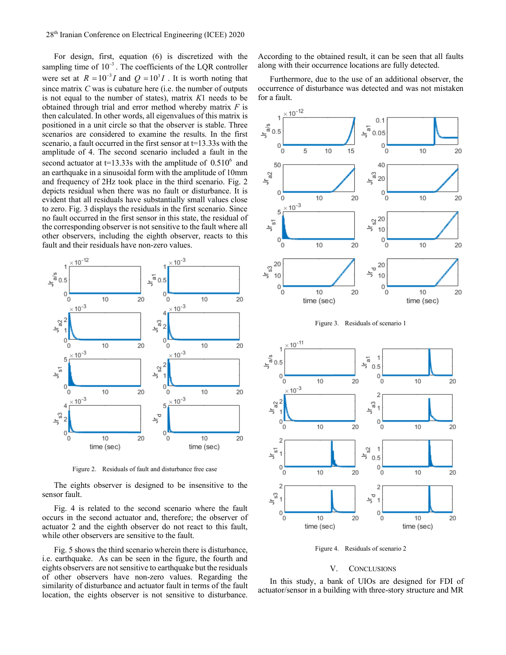For design, first, equation (6) is discretized with the sampling time of  $10^{-3}$ . The coefficients of the LQR controller were set at  $R = 10^{-3}I$  and  $Q = 10^{3}I$ . It is worth noting that since matrix *C* was is cubature here (i.e. the number of outputs is not equal to the number of states), matrix *K*1 needs to be obtained through trial and error method whereby matrix *F* is then calculated. In other words, all eigenvalues of this matrix is positioned in a unit circle so that the observer is stable. Three scenarios are considered to examine the results. In the first scenario, a fault occurred in the first sensor at  $t=13.33$ s with the amplitude of 4. The second scenario included a fault in the second actuator at  $t=13.33s$  with the amplitude of  $0.510<sup>6</sup>$  and an earthquake in a sinusoidal form with the amplitude of 10mm and frequency of 2Hz took place in the third scenario. Fig. 2 depicts residual when there was no fault or disturbance. It is evident that all residuals have substantially small values close to zero. Fig. 3 displays the residuals in the first scenario. Since no fault occurred in the first sensor in this state, the residual of the corresponding observer is not sensitive to the fault where all other observers, including the eighth observer, reacts to this fault and their residuals have non-zero values.



Figure 2. Residuals of fault and disturbance free case

The eights observer is designed to be insensitive to the sensor fault.

Fig. 4 is related to the second scenario where the fault occurs in the second actuator and, therefore; the observer of actuator 2 and the eighth observer do not react to this fault, while other observers are sensitive to the fault.

Fig. 5 shows the third scenario wherein there is disturbance, i.e. earthquake. As can be seen in the figure, the fourth and eights observers are not sensitive to earthquake but the residuals of other observers have non-zero values. Regarding the similarity of disturbance and actuator fault in terms of the fault location, the eights observer is not sensitive to disturbance. According to the obtained result, it can be seen that all faults along with their occurrence locations are fully detected.

Furthermore, due to the use of an additional observer, the occurrence of disturbance was detected and was not mistaken for a fault.



Figure 3. Residuals of scenario 1



Figure 4. Residuals of scenario 2

## V. CONCLUSIONS

In this study, a bank of UIOs are designed for FDI of actuator/sensor in a building with three-story structure and MR